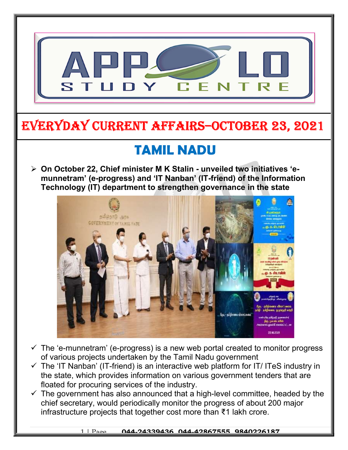

# EVERYDAY CURRENT AFFAIRS–OCTOBER 23, 2021

# TAMIL NADU

 On October 22, Chief minister M K Stalin - unveiled two initiatives 'emunnetram' (e-progress) and 'IT Nanban' (IT-friend) of the Information Technology (IT) department to strengthen governance in the state

-



- $\checkmark$  The 'e-munnetram' (e-progress) is a new web portal created to monitor progress of various projects undertaken by the Tamil Nadu government
- $\checkmark$  The 'IT Nanban' (IT-friend) is an interactive web platform for IT/ ITeS industry in the state, which provides information on various government tenders that are floated for procuring services of the industry.
- $\checkmark$  The government has also announced that a high-level committee, headed by the chief secretary, would periodically monitor the progress of about 200 major infrastructure projects that together cost more than ₹1 lakh crore.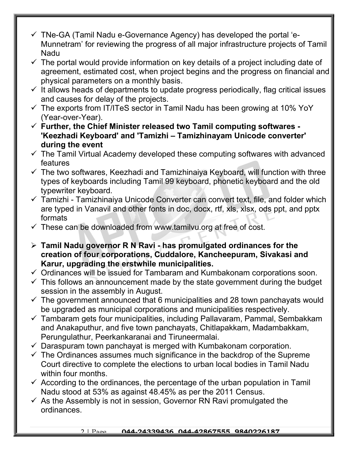- $\checkmark$  TNe-GA (Tamil Nadu e-Governance Agency) has developed the portal 'e-Munnetram' for reviewing the progress of all major infrastructure projects of Tamil Nadu
- $\checkmark$  The portal would provide information on key details of a project including date of agreement, estimated cost, when project begins and the progress on financial and physical parameters on a monthly basis.
- $\checkmark$  It allows heads of departments to update progress periodically, flag critical issues and causes for delay of the projects.
- $\checkmark$  The exports from IT/ITeS sector in Tamil Nadu has been growing at 10% YoY (Year-over-Year).
- $\checkmark$  Further, the Chief Minister released two Tamil computing softwares -'Keezhadi Keyboard' and 'Tamizhi – Tamizhinayam Unicode converter' during the event
- $\checkmark$  The Tamil Virtual Academy developed these computing softwares with advanced features
- $\checkmark$  The two softwares, Keezhadi and Tamizhinaiya Keyboard, will function with three types of keyboards including Tamil 99 keyboard, phonetic keyboard and the old typewriter keyboard.
- $\checkmark$  Tamizhi Tamizhinaiya Unicode Converter can convert text, file, and folder which are typed in Vanavil and other fonts in doc, docx, rtf, xls, xlsx, ods ppt, and pptx formats
- $\checkmark$  These can be downloaded from www.tamilvu.org at free of cost.
- $\triangleright$  Tamil Nadu governor R N Ravi has promulgated ordinances for the creation of four corporations, Cuddalore, Kancheepuram, Sivakasi and Karur, upgrading the erstwhile municipalities.
- $\checkmark$  Ordinances will be issued for Tambaram and Kumbakonam corporations soon.
- $\checkmark$  This follows an announcement made by the state government during the budget session in the assembly in August.
- $\checkmark$  The government announced that 6 municipalities and 28 town panchayats would be upgraded as municipal corporations and municipalities respectively.
- $\checkmark$  Tambaram gets four municipalities, including Pallavaram, Pammal, Sembakkam and Anakaputhur, and five town panchayats, Chitlapakkam, Madambakkam, Perungulathur, Peerkankaranai and Tiruneermalai.
- $\checkmark$  Daraspuram town panchayat is merged with Kumbakonam corporation.
- $\checkmark$  The Ordinances assumes much significance in the backdrop of the Supreme Court directive to complete the elections to urban local bodies in Tamil Nadu within four months.
- $\checkmark$  According to the ordinances, the percentage of the urban population in Tamil Nadu stood at 53% as against 48.45% as per the 2011 Census.
- $\checkmark$  As the Assembly is not in session, Governor RN Ravi promulgated the ordinances.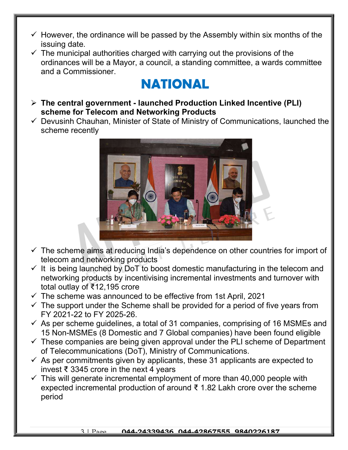- $\checkmark$  However, the ordinance will be passed by the Assembly within six months of the issuing date.
- $\checkmark$  The municipal authorities charged with carrying out the provisions of the ordinances will be a Mayor, a council, a standing committee, a wards committee and a Commissioner.

### NATIONAL

- $\triangleright$  The central government launched Production Linked Incentive (PLI) scheme for Telecom and Networking Products
- $\checkmark$  Devusinh Chauhan, Minister of State of Ministry of Communications, launched the scheme recently



- $\checkmark$  The scheme aims at reducing India's dependence on other countries for import of telecom and networking products
- $\checkmark$  It is being launched by DoT to boost domestic manufacturing in the telecom and networking products by incentivising incremental investments and turnover with total outlay of ₹12,195 crore
- $\checkmark$  The scheme was announced to be effective from 1st April, 2021
- $\checkmark$  The support under the Scheme shall be provided for a period of five years from FY 2021-22 to FY 2025-26.
- $\checkmark$  As per scheme guidelines, a total of 31 companies, comprising of 16 MSMEs and 15 Non-MSMEs (8 Domestic and 7 Global companies) have been found eligible
- $\checkmark$  These companies are being given approval under the PLI scheme of Department of Telecommunications (DoT), Ministry of Communications.
- $\checkmark$  As per commitments given by applicants, these 31 applicants are expected to invest ₹ 3345 crore in the next 4 years
- $\checkmark$  This will generate incremental employment of more than 40,000 people with expected incremental production of around ₹ 1.82 Lakh crore over the scheme period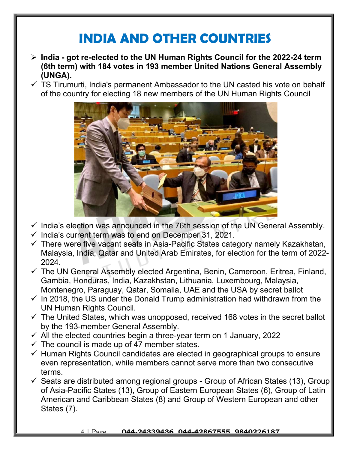# INDIA AND OTHER COUNTRIES

- $\ge$  India got re-elected to the UN Human Rights Council for the 2022-24 term (6th term) with 184 votes in 193 member United Nations General Assembly (UNGA).
- $\checkmark$  TS Tirumurti, India's permanent Ambassador to the UN casted his vote on behalf of the country for electing 18 new members of the UN Human Rights Council



- $\checkmark$  India's election was announced in the 76th session of the UN General Assembly.
- $\checkmark$  India's current term was to end on December 31, 2021.
- $\checkmark$  There were five vacant seats in Asia-Pacific States category namely Kazakhstan, Malaysia, India, Qatar and United Arab Emirates, for election for the term of 2022- 2024.
- $\checkmark$  The UN General Assembly elected Argentina, Benin, Cameroon, Eritrea, Finland, Gambia, Honduras, India, Kazakhstan, Lithuania, Luxembourg, Malaysia, Montenegro, Paraguay, Qatar, Somalia, UAE and the USA by secret ballot
- $\checkmark$  In 2018, the US under the Donald Trump administration had withdrawn from the UN Human Rights Council.
- $\checkmark$  The United States, which was unopposed, received 168 votes in the secret ballot by the 193-member General Assembly.
- $\checkmark$  All the elected countries begin a three-year term on 1 January, 2022
- $\checkmark$  The council is made up of 47 member states.
- $\checkmark$  Human Rights Council candidates are elected in geographical groups to ensure even representation, while members cannot serve more than two consecutive terms.
- $\checkmark$  Seats are distributed among regional groups Group of African States (13), Group of Asia-Pacific States (13), Group of Eastern European States (6), Group of Latin American and Caribbean States (8) and Group of Western European and other States (7).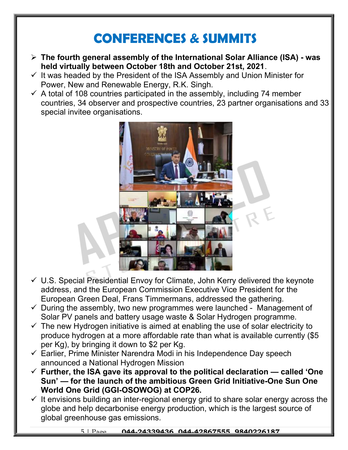# CONFERENCES & SUMMITS

- $\triangleright$  The fourth general assembly of the International Solar Alliance (ISA) was held virtually between October 18th and October 21st, 2021.
- $\checkmark$  It was headed by the President of the ISA Assembly and Union Minister for Power, New and Renewable Energy, R.K. Singh.
- $\checkmark$  A total of 108 countries participated in the assembly, including 74 member countries, 34 observer and prospective countries, 23 partner organisations and 33 special invitee organisations.



- $\checkmark$  U.S. Special Presidential Envoy for Climate, John Kerry delivered the keynote address, and the European Commission Executive Vice President for the European Green Deal, Frans Timmermans, addressed the gathering.
- $\checkmark$  During the assembly, two new programmes were launched Management of Solar PV panels and battery usage waste & Solar Hydrogen programme.
- $\checkmark$  The new Hydrogen initiative is aimed at enabling the use of solar electricity to produce hydrogen at a more affordable rate than what is available currently (\$5 per Kg), by bringing it down to \$2 per Kg.
- $\checkmark$  Earlier, Prime Minister Narendra Modi in his Independence Day speech announced a National Hydrogen Mission
- $\checkmark$  Further, the ISA gave its approval to the political declaration called 'One Sun' — for the launch of the ambitious Green Grid Initiative-One Sun One World One Grid (GGI-OSOWOG) at COP26.
- $\checkmark$  It envisions building an inter-regional energy grid to share solar energy across the globe and help decarbonise energy production, which is the largest source of global greenhouse gas emissions.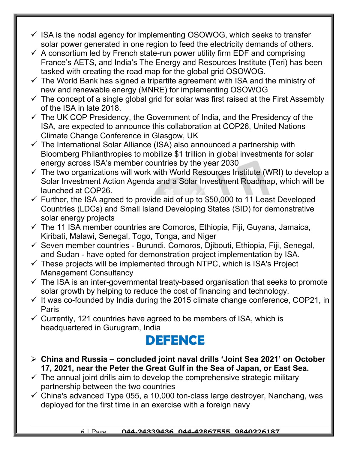- $\checkmark$  ISA is the nodal agency for implementing OSOWOG, which seeks to transfer solar power generated in one region to feed the electricity demands of others.
- $\checkmark$  A consortium led by French state-run power utility firm EDF and comprising France's AETS, and India's The Energy and Resources Institute (Teri) has been tasked with creating the road map for the global grid OSOWOG.
- $\checkmark$  The World Bank has signed a tripartite agreement with ISA and the ministry of new and renewable energy (MNRE) for implementing OSOWOG
- $\checkmark$  The concept of a single global grid for solar was first raised at the First Assembly of the ISA in late 2018.
- $\checkmark$  The UK COP Presidency, the Government of India, and the Presidency of the ISA, are expected to announce this collaboration at COP26, United Nations Climate Change Conference in Glasgow, UK
- $\checkmark$  The International Solar Alliance (ISA) also announced a partnership with Bloomberg Philanthropies to mobilize \$1 trillion in global investments for solar energy across ISA's member countries by the year 2030
- $\checkmark$  The two organizations will work with World Resources Institute (WRI) to develop a Solar Investment Action Agenda and a Solar Investment Roadmap, which will be launched at COP26.
- $\checkmark$  Further, the ISA agreed to provide aid of up to \$50,000 to 11 Least Developed Countries (LDCs) and Small Island Developing States (SID) for demonstrative solar energy projects
- $\checkmark$  The 11 ISA member countries are Comoros, Ethiopia, Fiji, Guyana, Jamaica, Kiribati, Malawi, Senegal, Togo, Tonga, and Niger
- $\checkmark$  Seven member countries Burundi, Comoros, Diibouti, Ethiopia, Fiji, Senegal, and Sudan - have opted for demonstration project implementation by ISA.
- $\checkmark$  These projects will be implemented through NTPC, which is ISA's Project Management Consultancy
- $\checkmark$  The ISA is an inter-governmental treaty-based organisation that seeks to promote solar growth by helping to reduce the cost of financing and technology.
- $\checkmark$  It was co-founded by India during the 2015 climate change conference, COP21, in Paris
- $\checkmark$  Currently, 121 countries have agreed to be members of ISA, which is headquartered in Gurugram, India

### **DEFENCE**

- China and Russia concluded joint naval drills 'Joint Sea 2021' on October 17, 2021, near the Peter the Great Gulf in the Sea of Japan, or East Sea.
- $\checkmark$  The annual joint drills aim to develop the comprehensive strategic military partnership between the two countries
- $\checkmark$  China's advanced Type 055, a 10,000 ton-class large destroyer, Nanchang, was deployed for the first time in an exercise with a foreign navy